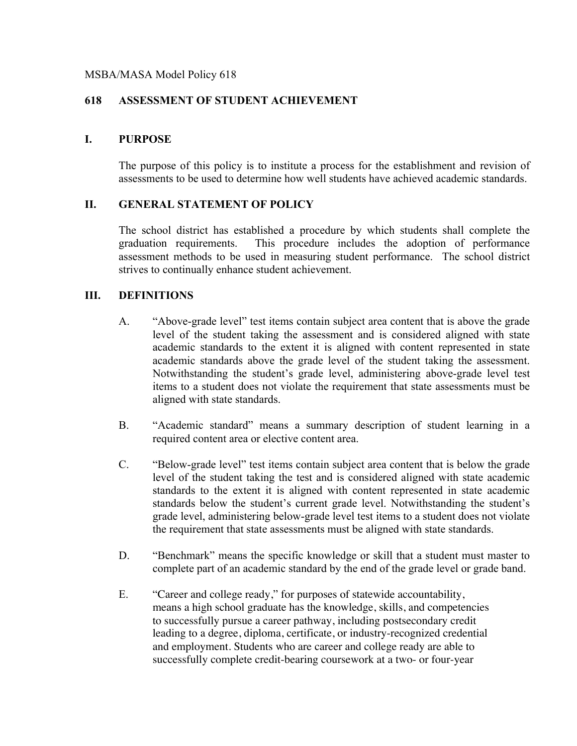#### MSBA/MASA Model Policy 618

## **618 ASSESSMENT OF STUDENT ACHIEVEMENT**

#### **I. PURPOSE**

The purpose of this policy is to institute a process for the establishment and revision of assessments to be used to determine how well students have achieved academic standards.

### **II. GENERAL STATEMENT OF POLICY**

The school district has established a procedure by which students shall complete the graduation requirements. This procedure includes the adoption of performance assessment methods to be used in measuring student performance. The school district strives to continually enhance student achievement.

### **III. DEFINITIONS**

- A. "Above-grade level" test items contain subject area content that is above the grade level of the student taking the assessment and is considered aligned with state academic standards to the extent it is aligned with content represented in state academic standards above the grade level of the student taking the assessment. Notwithstanding the student's grade level, administering above-grade level test items to a student does not violate the requirement that state assessments must be aligned with state standards.
- B. "Academic standard" means a summary description of student learning in a required content area or elective content area.
- C. "Below-grade level" test items contain subject area content that is below the grade level of the student taking the test and is considered aligned with state academic standards to the extent it is aligned with content represented in state academic standards below the student's current grade level. Notwithstanding the student's grade level, administering below-grade level test items to a student does not violate the requirement that state assessments must be aligned with state standards.
- D. "Benchmark" means the specific knowledge or skill that a student must master to complete part of an academic standard by the end of the grade level or grade band.
- E. "Career and college ready," for purposes of statewide accountability, means a high school graduate has the knowledge, skills, and competencies to successfully pursue a career pathway, including postsecondary credit leading to a degree, diploma, certificate, or industry-recognized credential and employment. Students who are career and college ready are able to successfully complete credit-bearing coursework at a two- or four-year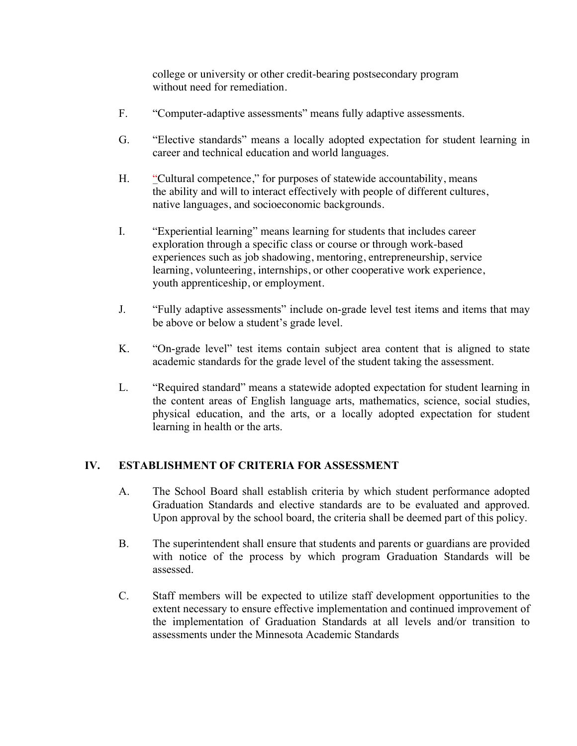college or university or other credit-bearing postsecondary program without need for remediation.

- F. "Computer-adaptive assessments" means fully adaptive assessments.
- G. "Elective standards" means a locally adopted expectation for student learning in career and technical education and world languages.
- H. "Cultural competence," for purposes of statewide accountability, means the ability and will to interact effectively with people of different cultures, native languages, and socioeconomic backgrounds.
- I. "Experiential learning" means learning for students that includes career exploration through a specific class or course or through work-based experiences such as job shadowing, mentoring, entrepreneurship, service learning, volunteering, internships, or other cooperative work experience, youth apprenticeship, or employment.
- J. "Fully adaptive assessments" include on-grade level test items and items that may be above or below a student's grade level.
- K. "On-grade level" test items contain subject area content that is aligned to state academic standards for the grade level of the student taking the assessment.
- L. "Required standard" means a statewide adopted expectation for student learning in the content areas of English language arts, mathematics, science, social studies, physical education, and the arts, or a locally adopted expectation for student learning in health or the arts.

# **IV. ESTABLISHMENT OF CRITERIA FOR ASSESSMENT**

- A. The School Board shall establish criteria by which student performance adopted Graduation Standards and elective standards are to be evaluated and approved. Upon approval by the school board, the criteria shall be deemed part of this policy.
- B. The superintendent shall ensure that students and parents or guardians are provided with notice of the process by which program Graduation Standards will be assessed.
- C. Staff members will be expected to utilize staff development opportunities to the extent necessary to ensure effective implementation and continued improvement of the implementation of Graduation Standards at all levels and/or transition to assessments under the Minnesota Academic Standards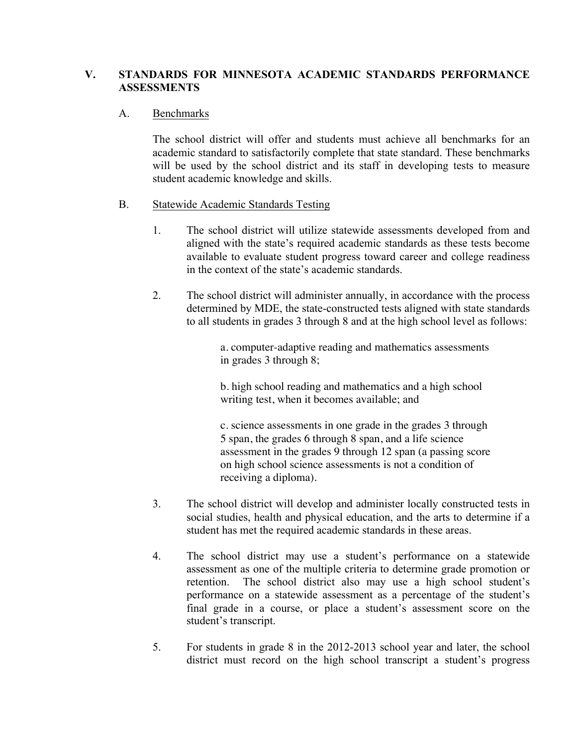## **V. STANDARDS FOR MINNESOTA ACADEMIC STANDARDS PERFORMANCE ASSESSMENTS**

### A. Benchmarks

The school district will offer and students must achieve all benchmarks for an academic standard to satisfactorily complete that state standard. These benchmarks will be used by the school district and its staff in developing tests to measure student academic knowledge and skills.

### B. Statewide Academic Standards Testing

- 1. The school district will utilize statewide assessments developed from and aligned with the state's required academic standards as these tests become available to evaluate student progress toward career and college readiness in the context of the state's academic standards.
- 2. The school district will administer annually, in accordance with the process determined by MDE, the state-constructed tests aligned with state standards to all students in grades 3 through 8 and at the high school level as follows:

a. computer-adaptive reading and mathematics assessments in grades 3 through 8;

b. high school reading and mathematics and a high school writing test, when it becomes available; and

c. science assessments in one grade in the grades 3 through 5 span, the grades 6 through 8 span, and a life science assessment in the grades 9 through 12 span (a passing score on high school science assessments is not a condition of receiving a diploma).

- 3. The school district will develop and administer locally constructed tests in social studies, health and physical education, and the arts to determine if a student has met the required academic standards in these areas.
- 4. The school district may use a student's performance on a statewide assessment as one of the multiple criteria to determine grade promotion or retention. The school district also may use a high school student's performance on a statewide assessment as a percentage of the student's final grade in a course, or place a student's assessment score on the student's transcript.
- 5. For students in grade 8 in the 2012-2013 school year and later, the school district must record on the high school transcript a student's progress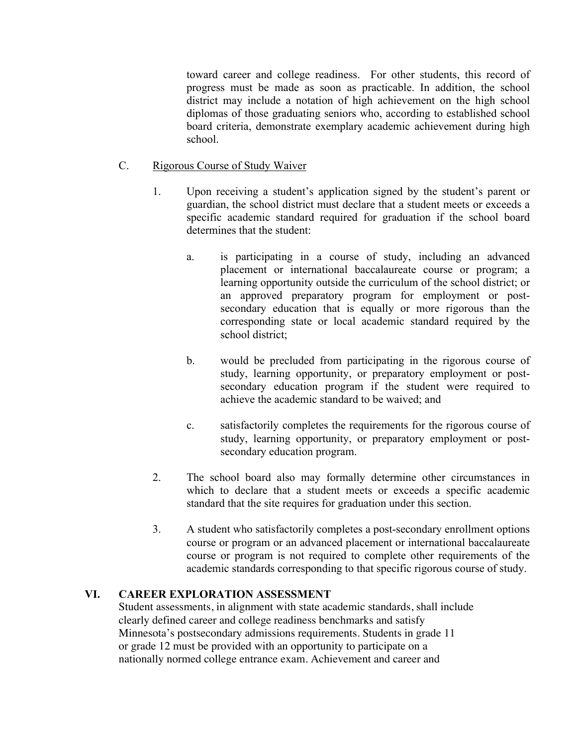toward career and college readiness. For other students, this record of progress must be made as soon as practicable. In addition, the school district may include a notation of high achievement on the high school diplomas of those graduating seniors who, according to established school board criteria, demonstrate exemplary academic achievement during high school.

### C. Rigorous Course of Study Waiver

- 1. Upon receiving a student's application signed by the student's parent or guardian, the school district must declare that a student meets or exceeds a specific academic standard required for graduation if the school board determines that the student:
	- a. is participating in a course of study, including an advanced placement or international baccalaureate course or program; a learning opportunity outside the curriculum of the school district; or an approved preparatory program for employment or postsecondary education that is equally or more rigorous than the corresponding state or local academic standard required by the school district;
	- b. would be precluded from participating in the rigorous course of study, learning opportunity, or preparatory employment or postsecondary education program if the student were required to achieve the academic standard to be waived; and
	- c. satisfactorily completes the requirements for the rigorous course of study, learning opportunity, or preparatory employment or postsecondary education program.
- 2. The school board also may formally determine other circumstances in which to declare that a student meets or exceeds a specific academic standard that the site requires for graduation under this section.
- 3. A student who satisfactorily completes a post-secondary enrollment options course or program or an advanced placement or international baccalaureate course or program is not required to complete other requirements of the academic standards corresponding to that specific rigorous course of study.

# **VI. CAREER EXPLORATION ASSESSMENT**

Student assessments, in alignment with state academic standards, shall include clearly defined career and college readiness benchmarks and satisfy Minnesota's postsecondary admissions requirements. Students in grade 11 or grade 12 must be provided with an opportunity to participate on a nationally normed college entrance exam. Achievement and career and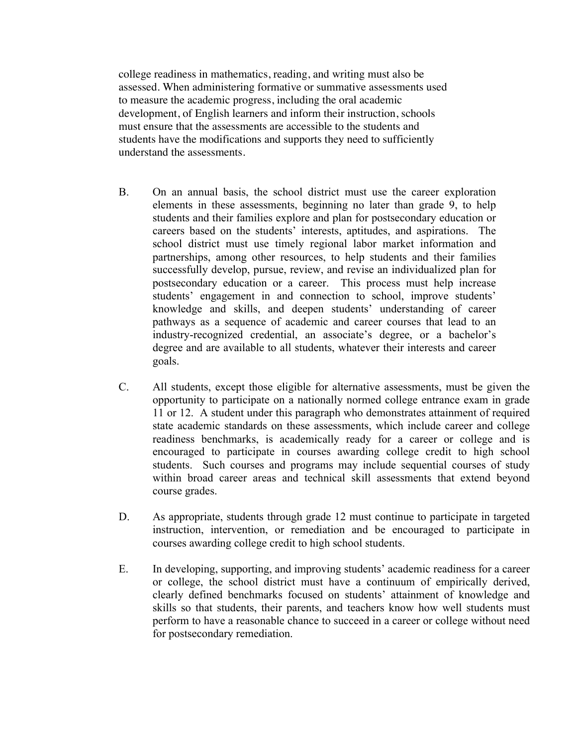college readiness in mathematics, reading, and writing must also be assessed. When administering formative or summative assessments used to measure the academic progress, including the oral academic development, of English learners and inform their instruction, schools must ensure that the assessments are accessible to the students and students have the modifications and supports they need to sufficiently understand the assessments.

- B. On an annual basis, the school district must use the career exploration elements in these assessments, beginning no later than grade 9, to help students and their families explore and plan for postsecondary education or careers based on the students' interests, aptitudes, and aspirations. The school district must use timely regional labor market information and partnerships, among other resources, to help students and their families successfully develop, pursue, review, and revise an individualized plan for postsecondary education or a career. This process must help increase students' engagement in and connection to school, improve students' knowledge and skills, and deepen students' understanding of career pathways as a sequence of academic and career courses that lead to an industry-recognized credential, an associate's degree, or a bachelor's degree and are available to all students, whatever their interests and career goals.
- C. All students, except those eligible for alternative assessments, must be given the opportunity to participate on a nationally normed college entrance exam in grade 11 or 12. A student under this paragraph who demonstrates attainment of required state academic standards on these assessments, which include career and college readiness benchmarks, is academically ready for a career or college and is encouraged to participate in courses awarding college credit to high school students. Such courses and programs may include sequential courses of study within broad career areas and technical skill assessments that extend beyond course grades.
- D. As appropriate, students through grade 12 must continue to participate in targeted instruction, intervention, or remediation and be encouraged to participate in courses awarding college credit to high school students.
- E. In developing, supporting, and improving students' academic readiness for a career or college, the school district must have a continuum of empirically derived, clearly defined benchmarks focused on students' attainment of knowledge and skills so that students, their parents, and teachers know how well students must perform to have a reasonable chance to succeed in a career or college without need for postsecondary remediation.